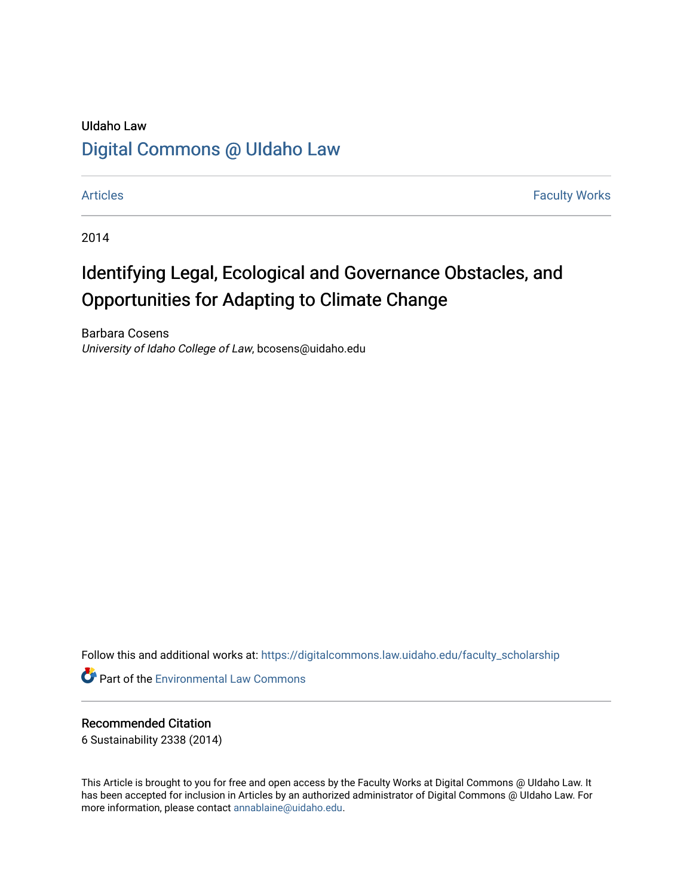# UIdaho Law [Digital Commons @ UIdaho Law](https://digitalcommons.law.uidaho.edu/)

[Articles](https://digitalcommons.law.uidaho.edu/faculty_scholarship) **Faculty Works** 

2014

# Identifying Legal, Ecological and Governance Obstacles, and Opportunities for Adapting to Climate Change

Barbara Cosens University of Idaho College of Law, bcosens@uidaho.edu

Follow this and additional works at: [https://digitalcommons.law.uidaho.edu/faculty\\_scholarship](https://digitalcommons.law.uidaho.edu/faculty_scholarship?utm_source=digitalcommons.law.uidaho.edu%2Ffaculty_scholarship%2F181&utm_medium=PDF&utm_campaign=PDFCoverPages) 

**Part of the [Environmental Law Commons](https://network.bepress.com/hgg/discipline/599?utm_source=digitalcommons.law.uidaho.edu%2Ffaculty_scholarship%2F181&utm_medium=PDF&utm_campaign=PDFCoverPages)** 

#### Recommended Citation

6 Sustainability 2338 (2014)

This Article is brought to you for free and open access by the Faculty Works at Digital Commons @ UIdaho Law. It has been accepted for inclusion in Articles by an authorized administrator of Digital Commons @ UIdaho Law. For more information, please contact [annablaine@uidaho.edu.](mailto:annablaine@uidaho.edu)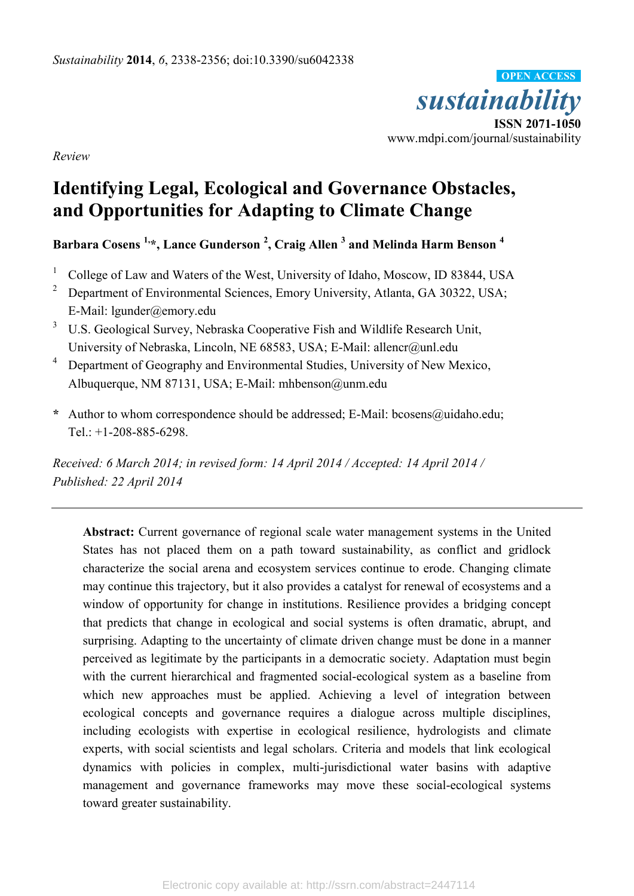

*Review*

# **Identifying Legal, Ecological and Governance Obstacles, and Opportunities for Adapting to Climate Change**

**Barbara Cosens 1, \*, Lance Gunderson <sup>2</sup> , Craig Allen <sup>3</sup> and Melinda Harm Benson <sup>4</sup>**

- <sup>1</sup> College of Law and Waters of the West, University of Idaho, Moscow, ID 83844, USA
- <sup>2</sup> Department of Environmental Sciences, Emory University, Atlanta, GA 30322, USA; E-Mail: lgunder@emory.edu
- <sup>3</sup> U.S. Geological Survey, Nebraska Cooperative Fish and Wildlife Research Unit, University of Nebraska, Lincoln, NE 68583, USA; E-Mail: allencr@unl.edu
- <sup>4</sup> Department of Geography and Environmental Studies, University of New Mexico, Albuquerque, NM 87131, USA; E-Mail: mhbenson@unm.edu
- **\*** Author to whom correspondence should be addressed; E-Mail: bcosens@uidaho.edu; Tel.: +1-208-885-6298.

*Received: 6 March 2014; in revised form: 14 April 2014 / Accepted: 14 April 2014 / Published: 22 April 2014*

**Abstract:** Current governance of regional scale water management systems in the United States has not placed them on a path toward sustainability, as conflict and gridlock characterize the social arena and ecosystem services continue to erode. Changing climate may continue this trajectory, but it also provides a catalyst for renewal of ecosystems and a window of opportunity for change in institutions. Resilience provides a bridging concept that predicts that change in ecological and social systems is often dramatic, abrupt, and surprising. Adapting to the uncertainty of climate driven change must be done in a manner perceived as legitimate by the participants in a democratic society. Adaptation must begin with the current hierarchical and fragmented social-ecological system as a baseline from which new approaches must be applied. Achieving a level of integration between ecological concepts and governance requires a dialogue across multiple disciplines, including ecologists with expertise in ecological resilience, hydrologists and climate experts, with social scientists and legal scholars. Criteria and models that link ecological dynamics with policies in complex, multi-jurisdictional water basins with adaptive management and governance frameworks may move these social-ecological systems toward greater sustainability.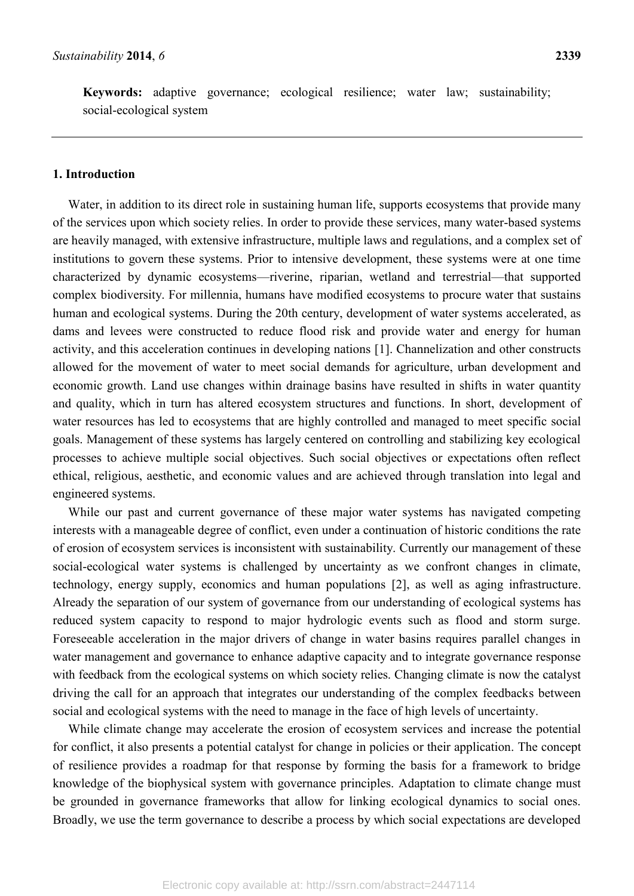**Keywords:** adaptive governance; ecological resilience; water law; sustainability; social-ecological system

#### **1. Introduction**

Water, in addition to its direct role in sustaining human life, supports ecosystems that provide many of the services upon which society relies. In order to provide these services, many water-based systems are heavily managed, with extensive infrastructure, multiple laws and regulations, and a complex set of institutions to govern these systems. Prior to intensive development, these systems were at one time characterized by dynamic ecosystems—riverine, riparian, wetland and terrestrial—that supported complex biodiversity. For millennia, humans have modified ecosystems to procure water that sustains human and ecological systems. During the 20th century, development of water systems accelerated, as dams and levees were constructed to reduce flood risk and provide water and energy for human activity, and this acceleration continues in developing nations [1]. Channelization and other constructs allowed for the movement of water to meet social demands for agriculture, urban development and economic growth. Land use changes within drainage basins have resulted in shifts in water quantity and quality, which in turn has altered ecosystem structures and functions. In short, development of water resources has led to ecosystems that are highly controlled and managed to meet specific social goals. Management of these systems has largely centered on controlling and stabilizing key ecological processes to achieve multiple social objectives. Such social objectives or expectations often reflect ethical, religious, aesthetic, and economic values and are achieved through translation into legal and engineered systems.

While our past and current governance of these major water systems has navigated competing interests with a manageable degree of conflict, even under a continuation of historic conditions the rate of erosion of ecosystem services is inconsistent with sustainability. Currently our management of these social-ecological water systems is challenged by uncertainty as we confront changes in climate, technology, energy supply, economics and human populations [2], as well as aging infrastructure. Already the separation of our system of governance from our understanding of ecological systems has reduced system capacity to respond to major hydrologic events such as flood and storm surge. Foreseeable acceleration in the major drivers of change in water basins requires parallel changes in water management and governance to enhance adaptive capacity and to integrate governance response with feedback from the ecological systems on which society relies. Changing climate is now the catalyst driving the call for an approach that integrates our understanding of the complex feedbacks between social and ecological systems with the need to manage in the face of high levels of uncertainty.

While climate change may accelerate the erosion of ecosystem services and increase the potential for conflict, it also presents a potential catalyst for change in policies or their application. The concept of resilience provides a roadmap for that response by forming the basis for a framework to bridge knowledge of the biophysical system with governance principles. Adaptation to climate change must be grounded in governance frameworks that allow for linking ecological dynamics to social ones. Broadly, we use the term governance to describe a process by which social expectations are developed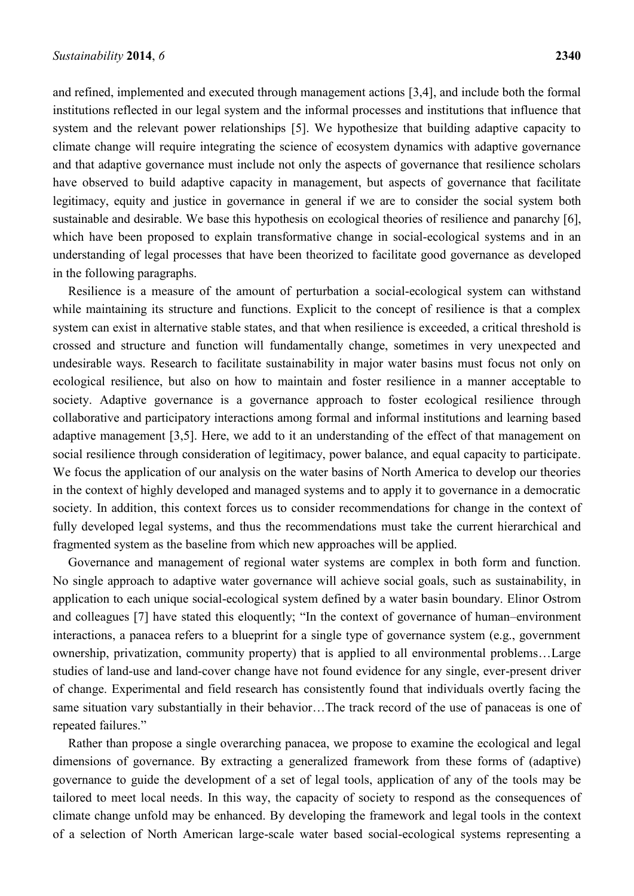and refined, implemented and executed through management actions [3,4], and include both the formal institutions reflected in our legal system and the informal processes and institutions that influence that system and the relevant power relationships [5]. We hypothesize that building adaptive capacity to climate change will require integrating the science of ecosystem dynamics with adaptive governance and that adaptive governance must include not only the aspects of governance that resilience scholars have observed to build adaptive capacity in management, but aspects of governance that facilitate legitimacy, equity and justice in governance in general if we are to consider the social system both sustainable and desirable. We base this hypothesis on ecological theories of resilience and panarchy [6], which have been proposed to explain transformative change in social-ecological systems and in an understanding of legal processes that have been theorized to facilitate good governance as developed in the following paragraphs.

Resilience is a measure of the amount of perturbation a social-ecological system can withstand while maintaining its structure and functions. Explicit to the concept of resilience is that a complex system can exist in alternative stable states, and that when resilience is exceeded, a critical threshold is crossed and structure and function will fundamentally change, sometimes in very unexpected and undesirable ways. Research to facilitate sustainability in major water basins must focus not only on ecological resilience, but also on how to maintain and foster resilience in a manner acceptable to society. Adaptive governance is a governance approach to foster ecological resilience through collaborative and participatory interactions among formal and informal institutions and learning based adaptive management [3,5]. Here, we add to it an understanding of the effect of that management on social resilience through consideration of legitimacy, power balance, and equal capacity to participate. We focus the application of our analysis on the water basins of North America to develop our theories in the context of highly developed and managed systems and to apply it to governance in a democratic society. In addition, this context forces us to consider recommendations for change in the context of fully developed legal systems, and thus the recommendations must take the current hierarchical and fragmented system as the baseline from which new approaches will be applied.

Governance and management of regional water systems are complex in both form and function. No single approach to adaptive water governance will achieve social goals, such as sustainability, in application to each unique social-ecological system defined by a water basin boundary. Elinor Ostrom and colleagues [7] have stated this eloquently; "In the context of governance of human–environment interactions, a panacea refers to a blueprint for a single type of governance system (e.g., government ownership, privatization, community property) that is applied to all environmental problems…Large studies of land-use and land-cover change have not found evidence for any single, ever-present driver of change. Experimental and field research has consistently found that individuals overtly facing the same situation vary substantially in their behavior…The track record of the use of panaceas is one of repeated failures."

Rather than propose a single overarching panacea, we propose to examine the ecological and legal dimensions of governance. By extracting a generalized framework from these forms of (adaptive) governance to guide the development of a set of legal tools, application of any of the tools may be tailored to meet local needs. In this way, the capacity of society to respond as the consequences of climate change unfold may be enhanced. By developing the framework and legal tools in the context of a selection of North American large-scale water based social-ecological systems representing a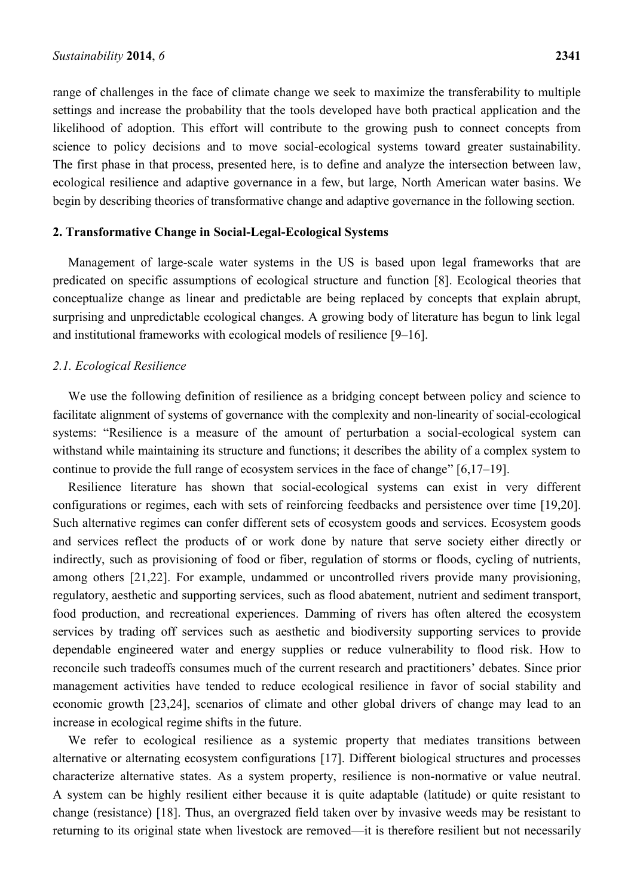range of challenges in the face of climate change we seek to maximize the transferability to multiple settings and increase the probability that the tools developed have both practical application and the likelihood of adoption. This effort will contribute to the growing push to connect concepts from science to policy decisions and to move social-ecological systems toward greater sustainability. The first phase in that process, presented here, is to define and analyze the intersection between law, ecological resilience and adaptive governance in a few, but large, North American water basins. We begin by describing theories of transformative change and adaptive governance in the following section.

#### **2. Transformative Change in Social-Legal-Ecological Systems**

Management of large-scale water systems in the US is based upon legal frameworks that are predicated on specific assumptions of ecological structure and function [8]. Ecological theories that conceptualize change as linear and predictable are being replaced by concepts that explain abrupt, surprising and unpredictable ecological changes. A growing body of literature has begun to link legal and institutional frameworks with ecological models of resilience [9–16].

#### *2.1. Ecological Resilience*

We use the following definition of resilience as a bridging concept between policy and science to facilitate alignment of systems of governance with the complexity and non-linearity of social-ecological systems: "Resilience is a measure of the amount of perturbation a social-ecological system can withstand while maintaining its structure and functions; it describes the ability of a complex system to continue to provide the full range of ecosystem services in the face of change" [6,17–19].

Resilience literature has shown that social-ecological systems can exist in very different configurations or regimes, each with sets of reinforcing feedbacks and persistence over time [19,20]. Such alternative regimes can confer different sets of ecosystem goods and services. Ecosystem goods and services reflect the products of or work done by nature that serve society either directly or indirectly, such as provisioning of food or fiber, regulation of storms or floods, cycling of nutrients, among others [21,22]. For example, undammed or uncontrolled rivers provide many provisioning, regulatory, aesthetic and supporting services, such as flood abatement, nutrient and sediment transport, food production, and recreational experiences. Damming of rivers has often altered the ecosystem services by trading off services such as aesthetic and biodiversity supporting services to provide dependable engineered water and energy supplies or reduce vulnerability to flood risk. How to reconcile such tradeoffs consumes much of the current research and practitioners' debates. Since prior management activities have tended to reduce ecological resilience in favor of social stability and economic growth [23,24], scenarios of climate and other global drivers of change may lead to an increase in ecological regime shifts in the future.

We refer to ecological resilience as a systemic property that mediates transitions between alternative or alternating ecosystem configurations [17]. Different biological structures and processes characterize alternative states. As a system property, resilience is non-normative or value neutral. A system can be highly resilient either because it is quite adaptable (latitude) or quite resistant to change (resistance) [18]. Thus, an overgrazed field taken over by invasive weeds may be resistant to returning to its original state when livestock are removed—it is therefore resilient but not necessarily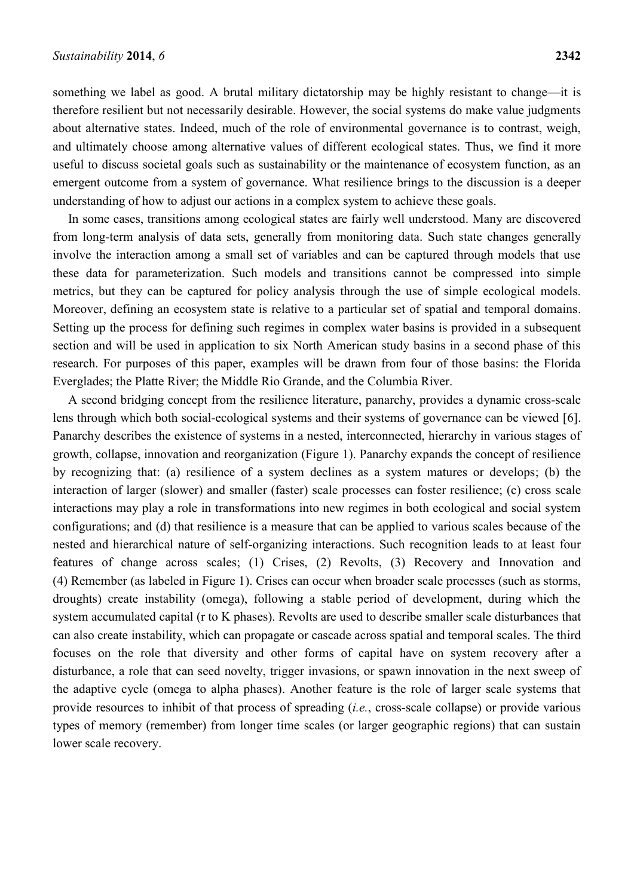something we label as good. A brutal military dictatorship may be highly resistant to change—it is therefore resilient but not necessarily desirable. However, the social systems do make value judgments about alternative states. Indeed, much of the role of environmental governance is to contrast, weigh, and ultimately choose among alternative values of different ecological states. Thus, we find it more useful to discuss societal goals such as sustainability or the maintenance of ecosystem function, as an emergent outcome from a system of governance. What resilience brings to the discussion is a deeper understanding of how to adjust our actions in a complex system to achieve these goals.

In some cases, transitions among ecological states are fairly well understood. Many are discovered from long-term analysis of data sets, generally from monitoring data. Such state changes generally involve the interaction among a small set of variables and can be captured through models that use these data for parameterization. Such models and transitions cannot be compressed into simple metrics, but they can be captured for policy analysis through the use of simple ecological models. Moreover, defining an ecosystem state is relative to a particular set of spatial and temporal domains. Setting up the process for defining such regimes in complex water basins is provided in a subsequent section and will be used in application to six North American study basins in a second phase of this research. For purposes of this paper, examples will be drawn from four of those basins: the Florida Everglades; the Platte River; the Middle Rio Grande, and the Columbia River.

A second bridging concept from the resilience literature, panarchy, provides a dynamic cross-scale lens through which both social-ecological systems and their systems of governance can be viewed [6]. Panarchy describes the existence of systems in a nested, interconnected, hierarchy in various stages of growth, collapse, innovation and reorganization (Figure 1). Panarchy expands the concept of resilience by recognizing that: (a) resilience of a system declines as a system matures or develops; (b) the interaction of larger (slower) and smaller (faster) scale processes can foster resilience; (c) cross scale interactions may play a role in transformations into new regimes in both ecological and social system configurations; and (d) that resilience is a measure that can be applied to various scales because of the nested and hierarchical nature of self-organizing interactions. Such recognition leads to at least four features of change across scales; (1) Crises, (2) Revolts, (3) Recovery and Innovation and (4) Remember (as labeled in Figure 1). Crises can occur when broader scale processes (such as storms, droughts) create instability (omega), following a stable period of development, during which the system accumulated capital (r to K phases). Revolts are used to describe smaller scale disturbances that can also create instability, which can propagate or cascade across spatial and temporal scales. The third focuses on the role that diversity and other forms of capital have on system recovery after a disturbance, a role that can seed novelty, trigger invasions, or spawn innovation in the next sweep of the adaptive cycle (omega to alpha phases). Another feature is the role of larger scale systems that provide resources to inhibit of that process of spreading (*i.e.*, cross-scale collapse) or provide various types of memory (remember) from longer time scales (or larger geographic regions) that can sustain lower scale recovery.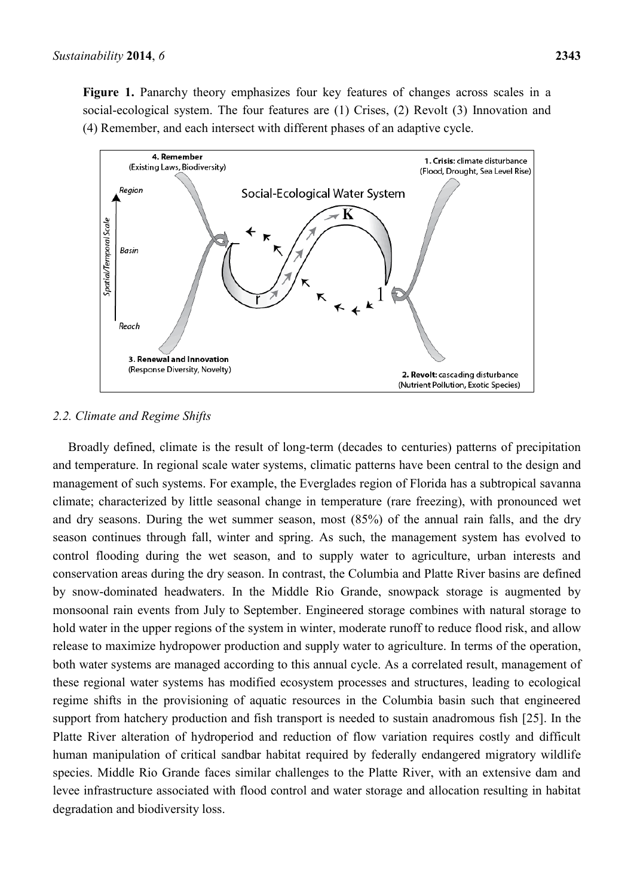**Figure 1.** Panarchy theory emphasizes four key features of changes across scales in a social-ecological system. The four features are (1) Crises, (2) Revolt (3) Innovation and (4) Remember, and each intersect with different phases of an adaptive cycle.



#### *2.2. Climate and Regime Shifts*

Broadly defined, climate is the result of long-term (decades to centuries) patterns of precipitation and temperature. In regional scale water systems, climatic patterns have been central to the design and management of such systems. For example, the Everglades region of Florida has a subtropical savanna climate; characterized by little seasonal change in temperature (rare freezing), with pronounced wet and dry seasons. During the wet summer season, most (85%) of the annual rain falls, and the dry season continues through fall, winter and spring. As such, the management system has evolved to control flooding during the wet season, and to supply water to agriculture, urban interests and conservation areas during the dry season. In contrast, the Columbia and Platte River basins are defined by snow-dominated headwaters. In the Middle Rio Grande, snowpack storage is augmented by monsoonal rain events from July to September. Engineered storage combines with natural storage to hold water in the upper regions of the system in winter, moderate runoff to reduce flood risk, and allow release to maximize hydropower production and supply water to agriculture. In terms of the operation, both water systems are managed according to this annual cycle. As a correlated result, management of these regional water systems has modified ecosystem processes and structures, leading to ecological regime shifts in the provisioning of aquatic resources in the Columbia basin such that engineered support from hatchery production and fish transport is needed to sustain anadromous fish [25]. In the Platte River alteration of hydroperiod and reduction of flow variation requires costly and difficult human manipulation of critical sandbar habitat required by federally endangered migratory wildlife species. Middle Rio Grande faces similar challenges to the Platte River, with an extensive dam and levee infrastructure associated with flood control and water storage and allocation resulting in habitat degradation and biodiversity loss.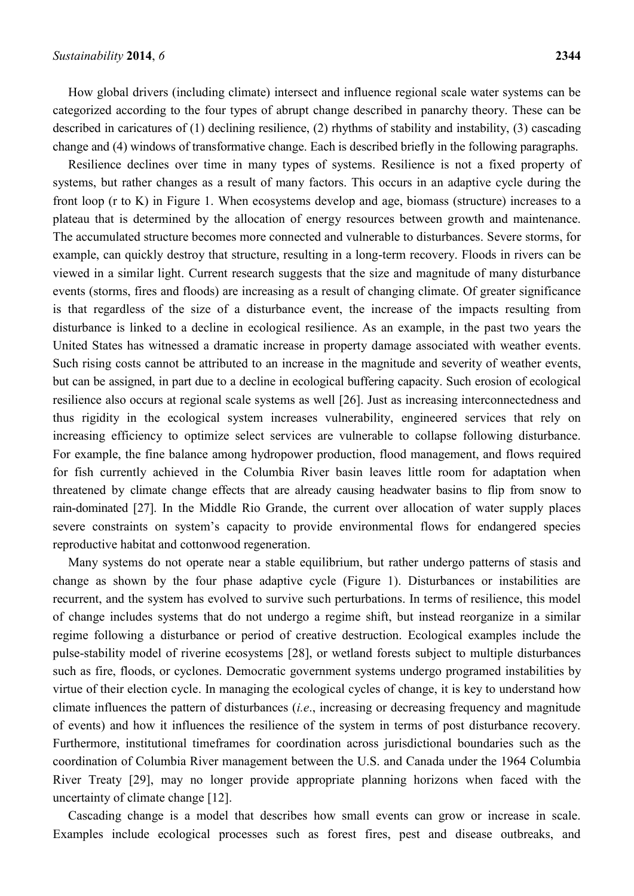How global drivers (including climate) intersect and influence regional scale water systems can be categorized according to the four types of abrupt change described in panarchy theory. These can be described in caricatures of (1) declining resilience, (2) rhythms of stability and instability, (3) cascading change and (4) windows of transformative change. Each is described briefly in the following paragraphs.

Resilience declines over time in many types of systems. Resilience is not a fixed property of systems, but rather changes as a result of many factors. This occurs in an adaptive cycle during the front loop (r to K) in Figure 1. When ecosystems develop and age, biomass (structure) increases to a plateau that is determined by the allocation of energy resources between growth and maintenance. The accumulated structure becomes more connected and vulnerable to disturbances. Severe storms, for example, can quickly destroy that structure, resulting in a long-term recovery. Floods in rivers can be viewed in a similar light. Current research suggests that the size and magnitude of many disturbance events (storms, fires and floods) are increasing as a result of changing climate. Of greater significance is that regardless of the size of a disturbance event, the increase of the impacts resulting from disturbance is linked to a decline in ecological resilience. As an example, in the past two years the United States has witnessed a dramatic increase in property damage associated with weather events. Such rising costs cannot be attributed to an increase in the magnitude and severity of weather events, but can be assigned, in part due to a decline in ecological buffering capacity. Such erosion of ecological resilience also occurs at regional scale systems as well [26]. Just as increasing interconnectedness and thus rigidity in the ecological system increases vulnerability, engineered services that rely on increasing efficiency to optimize select services are vulnerable to collapse following disturbance. For example, the fine balance among hydropower production, flood management, and flows required for fish currently achieved in the Columbia River basin leaves little room for adaptation when threatened by climate change effects that are already causing headwater basins to flip from snow to rain-dominated [27]. In the Middle Rio Grande, the current over allocation of water supply places severe constraints on system's capacity to provide environmental flows for endangered species reproductive habitat and cottonwood regeneration.

Many systems do not operate near a stable equilibrium, but rather undergo patterns of stasis and change as shown by the four phase adaptive cycle (Figure 1). Disturbances or instabilities are recurrent, and the system has evolved to survive such perturbations. In terms of resilience, this model of change includes systems that do not undergo a regime shift, but instead reorganize in a similar regime following a disturbance or period of creative destruction. Ecological examples include the pulse-stability model of riverine ecosystems [28], or wetland forests subject to multiple disturbances such as fire, floods, or cyclones. Democratic government systems undergo programed instabilities by virtue of their election cycle. In managing the ecological cycles of change, it is key to understand how climate influences the pattern of disturbances (*i.e*., increasing or decreasing frequency and magnitude of events) and how it influences the resilience of the system in terms of post disturbance recovery. Furthermore, institutional timeframes for coordination across jurisdictional boundaries such as the coordination of Columbia River management between the U.S. and Canada under the 1964 Columbia River Treaty [29], may no longer provide appropriate planning horizons when faced with the uncertainty of climate change [12].

Cascading change is a model that describes how small events can grow or increase in scale. Examples include ecological processes such as forest fires, pest and disease outbreaks, and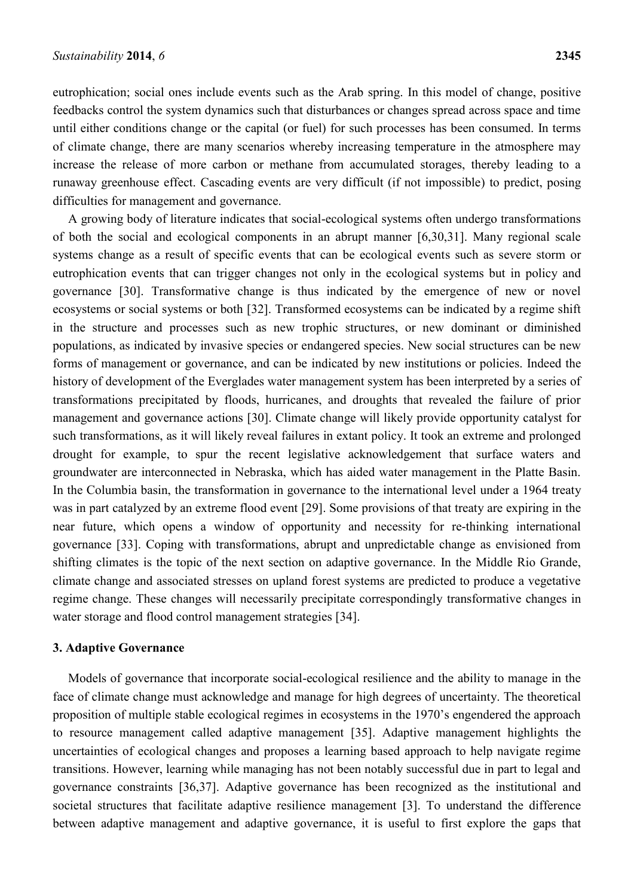eutrophication; social ones include events such as the Arab spring. In this model of change, positive feedbacks control the system dynamics such that disturbances or changes spread across space and time until either conditions change or the capital (or fuel) for such processes has been consumed. In terms of climate change, there are many scenarios whereby increasing temperature in the atmosphere may increase the release of more carbon or methane from accumulated storages, thereby leading to a runaway greenhouse effect. Cascading events are very difficult (if not impossible) to predict, posing difficulties for management and governance.

A growing body of literature indicates that social-ecological systems often undergo transformations of both the social and ecological components in an abrupt manner [6,30,31]. Many regional scale systems change as a result of specific events that can be ecological events such as severe storm or eutrophication events that can trigger changes not only in the ecological systems but in policy and governance [30]. Transformative change is thus indicated by the emergence of new or novel ecosystems or social systems or both [32]. Transformed ecosystems can be indicated by a regime shift in the structure and processes such as new trophic structures, or new dominant or diminished populations, as indicated by invasive species or endangered species. New social structures can be new forms of management or governance, and can be indicated by new institutions or policies. Indeed the history of development of the Everglades water management system has been interpreted by a series of transformations precipitated by floods, hurricanes, and droughts that revealed the failure of prior management and governance actions [30]. Climate change will likely provide opportunity catalyst for such transformations, as it will likely reveal failures in extant policy. It took an extreme and prolonged drought for example, to spur the recent legislative acknowledgement that surface waters and groundwater are interconnected in Nebraska, which has aided water management in the Platte Basin. In the Columbia basin, the transformation in governance to the international level under a 1964 treaty was in part catalyzed by an extreme flood event [29]. Some provisions of that treaty are expiring in the near future, which opens a window of opportunity and necessity for re-thinking international governance [33]. Coping with transformations, abrupt and unpredictable change as envisioned from shifting climates is the topic of the next section on adaptive governance. In the Middle Rio Grande, climate change and associated stresses on upland forest systems are predicted to produce a vegetative regime change. These changes will necessarily precipitate correspondingly transformative changes in water storage and flood control management strategies [34].

#### **3. Adaptive Governance**

Models of governance that incorporate social-ecological resilience and the ability to manage in the face of climate change must acknowledge and manage for high degrees of uncertainty. The theoretical proposition of multiple stable ecological regimes in ecosystems in the 1970's engendered the approach to resource management called adaptive management [35]. Adaptive management highlights the uncertainties of ecological changes and proposes a learning based approach to help navigate regime transitions. However, learning while managing has not been notably successful due in part to legal and governance constraints [36,37]. Adaptive governance has been recognized as the institutional and societal structures that facilitate adaptive resilience management [3]. To understand the difference between adaptive management and adaptive governance, it is useful to first explore the gaps that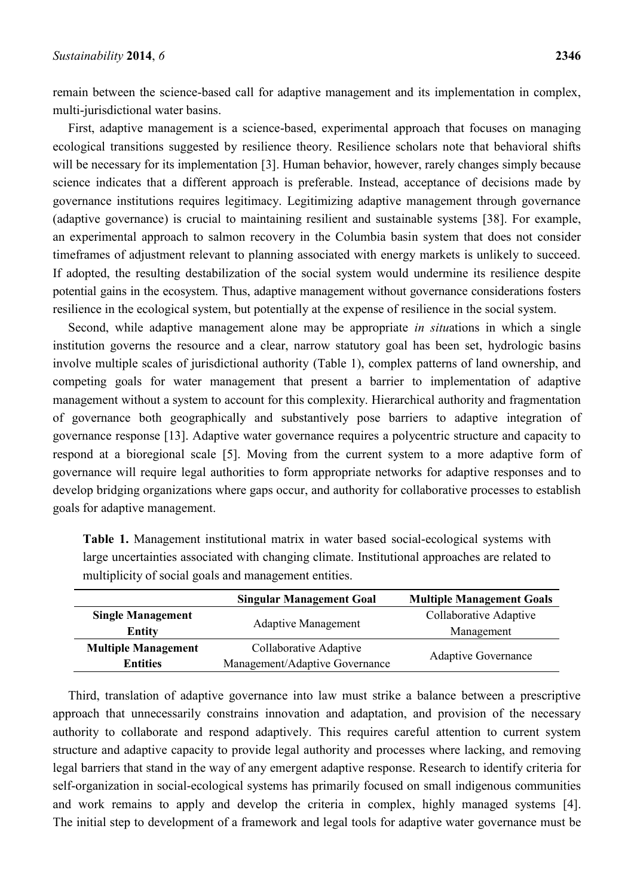remain between the science-based call for adaptive management and its implementation in complex, multi-jurisdictional water basins.

First, adaptive management is a science-based, experimental approach that focuses on managing ecological transitions suggested by resilience theory. Resilience scholars note that behavioral shifts will be necessary for its implementation [3]. Human behavior, however, rarely changes simply because science indicates that a different approach is preferable. Instead, acceptance of decisions made by governance institutions requires legitimacy. Legitimizing adaptive management through governance (adaptive governance) is crucial to maintaining resilient and sustainable systems [38]. For example, an experimental approach to salmon recovery in the Columbia basin system that does not consider timeframes of adjustment relevant to planning associated with energy markets is unlikely to succeed. If adopted, the resulting destabilization of the social system would undermine its resilience despite potential gains in the ecosystem. Thus, adaptive management without governance considerations fosters resilience in the ecological system, but potentially at the expense of resilience in the social system.

Second, while adaptive management alone may be appropriate *in situ*ations in which a single institution governs the resource and a clear, narrow statutory goal has been set, hydrologic basins involve multiple scales of jurisdictional authority (Table 1), complex patterns of land ownership, and competing goals for water management that present a barrier to implementation of adaptive management without a system to account for this complexity. Hierarchical authority and fragmentation of governance both geographically and substantively pose barriers to adaptive integration of governance response [13]. Adaptive water governance requires a polycentric structure and capacity to respond at a bioregional scale [5]. Moving from the current system to a more adaptive form of governance will require legal authorities to form appropriate networks for adaptive responses and to develop bridging organizations where gaps occur, and authority for collaborative processes to establish goals for adaptive management.

|                            | <b>Singular Management Goal</b> | <b>Multiple Management Goals</b> |
|----------------------------|---------------------------------|----------------------------------|
| <b>Single Management</b>   | <b>Adaptive Management</b>      | Collaborative Adaptive           |
| Entity                     |                                 | Management                       |
| <b>Multiple Management</b> | Collaborative Adaptive          | <b>Adaptive Governance</b>       |
| <b>Entities</b>            | Management/Adaptive Governance  |                                  |

**Table 1.** Management institutional matrix in water based social-ecological systems with large uncertainties associated with changing climate. Institutional approaches are related to multiplicity of social goals and management entities.

Third, translation of adaptive governance into law must strike a balance between a prescriptive approach that unnecessarily constrains innovation and adaptation, and provision of the necessary authority to collaborate and respond adaptively. This requires careful attention to current system structure and adaptive capacity to provide legal authority and processes where lacking, and removing legal barriers that stand in the way of any emergent adaptive response. Research to identify criteria for self-organization in social-ecological systems has primarily focused on small indigenous communities and work remains to apply and develop the criteria in complex, highly managed systems [4]. The initial step to development of a framework and legal tools for adaptive water governance must be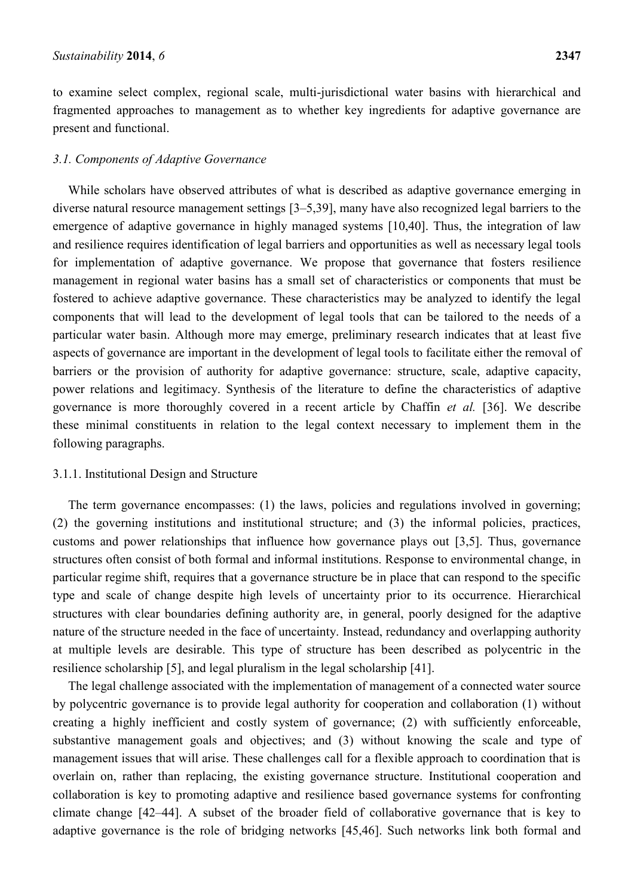to examine select complex, regional scale, multi-jurisdictional water basins with hierarchical and fragmented approaches to management as to whether key ingredients for adaptive governance are present and functional.

#### *3.1. Components of Adaptive Governance*

While scholars have observed attributes of what is described as adaptive governance emerging in diverse natural resource management settings [3–5,39], many have also recognized legal barriers to the emergence of adaptive governance in highly managed systems [10,40]. Thus, the integration of law and resilience requires identification of legal barriers and opportunities as well as necessary legal tools for implementation of adaptive governance. We propose that governance that fosters resilience management in regional water basins has a small set of characteristics or components that must be fostered to achieve adaptive governance. These characteristics may be analyzed to identify the legal components that will lead to the development of legal tools that can be tailored to the needs of a particular water basin. Although more may emerge, preliminary research indicates that at least five aspects of governance are important in the development of legal tools to facilitate either the removal of barriers or the provision of authority for adaptive governance: structure, scale, adaptive capacity, power relations and legitimacy. Synthesis of the literature to define the characteristics of adaptive governance is more thoroughly covered in a recent article by Chaffin *et al.* [36]. We describe these minimal constituents in relation to the legal context necessary to implement them in the following paragraphs.

#### 3.1.1. Institutional Design and Structure

The term governance encompasses: (1) the laws, policies and regulations involved in governing; (2) the governing institutions and institutional structure; and (3) the informal policies, practices, customs and power relationships that influence how governance plays out [3,5]. Thus, governance structures often consist of both formal and informal institutions. Response to environmental change, in particular regime shift, requires that a governance structure be in place that can respond to the specific type and scale of change despite high levels of uncertainty prior to its occurrence. Hierarchical structures with clear boundaries defining authority are, in general, poorly designed for the adaptive nature of the structure needed in the face of uncertainty. Instead, redundancy and overlapping authority at multiple levels are desirable. This type of structure has been described as polycentric in the resilience scholarship [5], and legal pluralism in the legal scholarship [41].

The legal challenge associated with the implementation of management of a connected water source by polycentric governance is to provide legal authority for cooperation and collaboration (1) without creating a highly inefficient and costly system of governance; (2) with sufficiently enforceable, substantive management goals and objectives; and (3) without knowing the scale and type of management issues that will arise. These challenges call for a flexible approach to coordination that is overlain on, rather than replacing, the existing governance structure. Institutional cooperation and collaboration is key to promoting adaptive and resilience based governance systems for confronting climate change [42–44]. A subset of the broader field of collaborative governance that is key to adaptive governance is the role of bridging networks [45,46]. Such networks link both formal and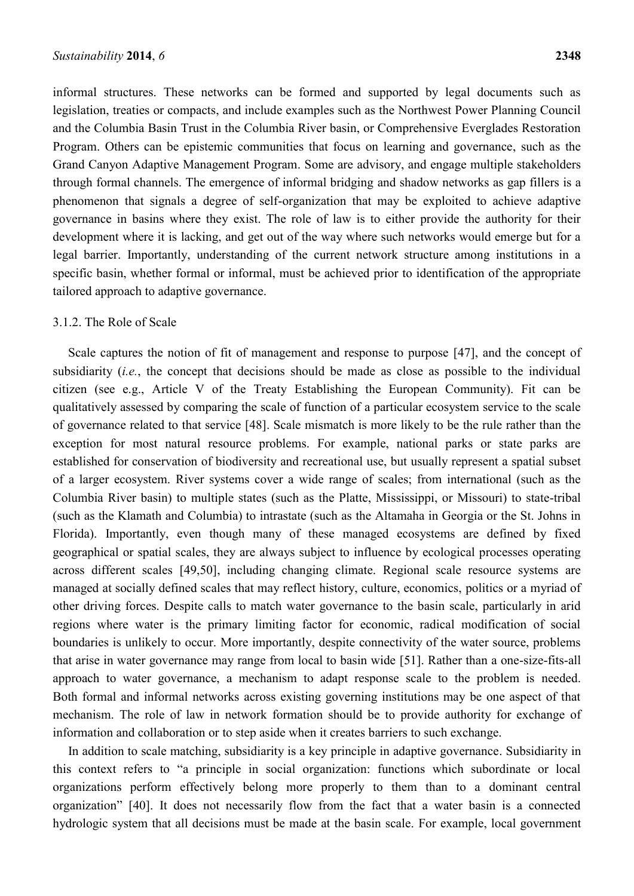informal structures. These networks can be formed and supported by legal documents such as legislation, treaties or compacts, and include examples such as the Northwest Power Planning Council and the Columbia Basin Trust in the Columbia River basin, or Comprehensive Everglades Restoration Program. Others can be epistemic communities that focus on learning and governance, such as the Grand Canyon Adaptive Management Program. Some are advisory, and engage multiple stakeholders through formal channels. The emergence of informal bridging and shadow networks as gap fillers is a phenomenon that signals a degree of self-organization that may be exploited to achieve adaptive governance in basins where they exist. The role of law is to either provide the authority for their development where it is lacking, and get out of the way where such networks would emerge but for a legal barrier. Importantly, understanding of the current network structure among institutions in a specific basin, whether formal or informal, must be achieved prior to identification of the appropriate tailored approach to adaptive governance.

#### 3.1.2. The Role of Scale

Scale captures the notion of fit of management and response to purpose [47], and the concept of subsidiarity (*i.e.*, the concept that decisions should be made as close as possible to the individual citizen (see e.g., Article V of the Treaty Establishing the European Community). Fit can be qualitatively assessed by comparing the scale of function of a particular ecosystem service to the scale of governance related to that service [48]. Scale mismatch is more likely to be the rule rather than the exception for most natural resource problems. For example, national parks or state parks are established for conservation of biodiversity and recreational use, but usually represent a spatial subset of a larger ecosystem. River systems cover a wide range of scales; from international (such as the Columbia River basin) to multiple states (such as the Platte, Mississippi, or Missouri) to state-tribal (such as the Klamath and Columbia) to intrastate (such as the Altamaha in Georgia or the St. Johns in Florida). Importantly, even though many of these managed ecosystems are defined by fixed geographical or spatial scales, they are always subject to influence by ecological processes operating across different scales [49,50], including changing climate. Regional scale resource systems are managed at socially defined scales that may reflect history, culture, economics, politics or a myriad of other driving forces. Despite calls to match water governance to the basin scale, particularly in arid regions where water is the primary limiting factor for economic, radical modification of social boundaries is unlikely to occur. More importantly, despite connectivity of the water source, problems that arise in water governance may range from local to basin wide [51]. Rather than a one-size-fits-all approach to water governance, a mechanism to adapt response scale to the problem is needed. Both formal and informal networks across existing governing institutions may be one aspect of that mechanism. The role of law in network formation should be to provide authority for exchange of information and collaboration or to step aside when it creates barriers to such exchange.

In addition to scale matching, subsidiarity is a key principle in adaptive governance. Subsidiarity in this context refers to "a principle in social organization: functions which subordinate or local organizations perform effectively belong more properly to them than to a dominant central organization" [40]. It does not necessarily flow from the fact that a water basin is a connected hydrologic system that all decisions must be made at the basin scale. For example, local government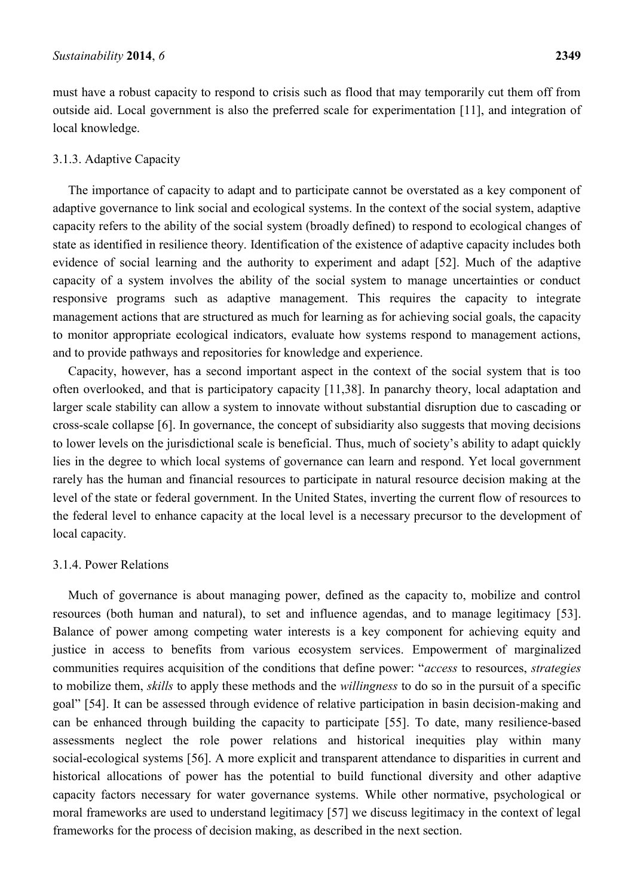must have a robust capacity to respond to crisis such as flood that may temporarily cut them off from outside aid. Local government is also the preferred scale for experimentation [11], and integration of local knowledge.

#### 3.1.3. Adaptive Capacity

The importance of capacity to adapt and to participate cannot be overstated as a key component of adaptive governance to link social and ecological systems. In the context of the social system, adaptive capacity refers to the ability of the social system (broadly defined) to respond to ecological changes of state as identified in resilience theory. Identification of the existence of adaptive capacity includes both evidence of social learning and the authority to experiment and adapt [52]. Much of the adaptive capacity of a system involves the ability of the social system to manage uncertainties or conduct responsive programs such as adaptive management. This requires the capacity to integrate management actions that are structured as much for learning as for achieving social goals, the capacity to monitor appropriate ecological indicators, evaluate how systems respond to management actions, and to provide pathways and repositories for knowledge and experience.

Capacity, however, has a second important aspect in the context of the social system that is too often overlooked, and that is participatory capacity [11,38]. In panarchy theory, local adaptation and larger scale stability can allow a system to innovate without substantial disruption due to cascading or cross-scale collapse [6]. In governance, the concept of subsidiarity also suggests that moving decisions to lower levels on the jurisdictional scale is beneficial. Thus, much of society's ability to adapt quickly lies in the degree to which local systems of governance can learn and respond. Yet local government rarely has the human and financial resources to participate in natural resource decision making at the level of the state or federal government. In the United States, inverting the current flow of resources to the federal level to enhance capacity at the local level is a necessary precursor to the development of local capacity.

#### 3.1.4. Power Relations

Much of governance is about managing power, defined as the capacity to, mobilize and control resources (both human and natural), to set and influence agendas, and to manage legitimacy [53]. Balance of power among competing water interests is a key component for achieving equity and justice in access to benefits from various ecosystem services. Empowerment of marginalized communities requires acquisition of the conditions that define power: "*access* to resources, *strategies*  to mobilize them, *skills* to apply these methods and the *willingness* to do so in the pursuit of a specific goal" [54]. It can be assessed through evidence of relative participation in basin decision-making and can be enhanced through building the capacity to participate [55]. To date, many resilience-based assessments neglect the role power relations and historical inequities play within many social-ecological systems [56]. A more explicit and transparent attendance to disparities in current and historical allocations of power has the potential to build functional diversity and other adaptive capacity factors necessary for water governance systems. While other normative, psychological or moral frameworks are used to understand legitimacy [57] we discuss legitimacy in the context of legal frameworks for the process of decision making, as described in the next section.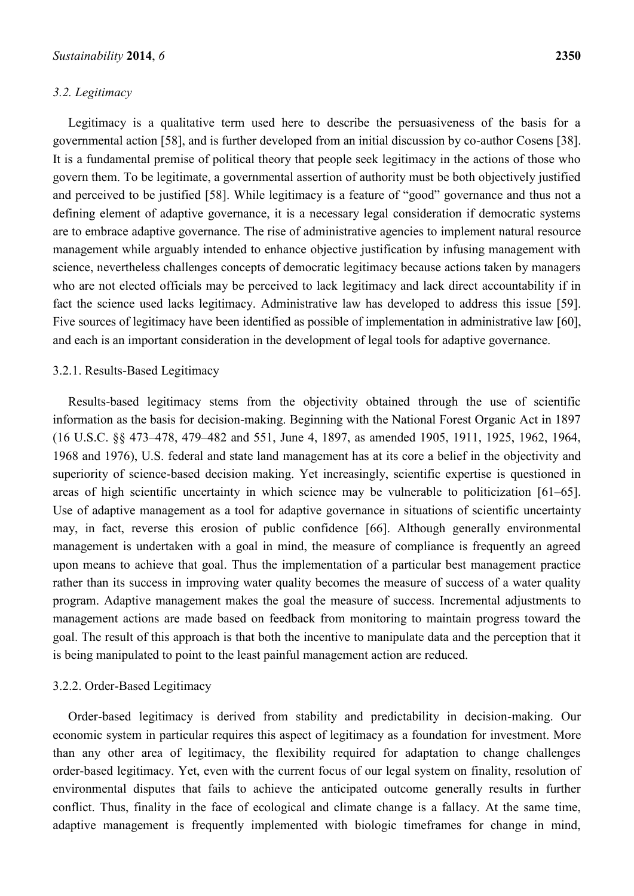#### *3.2. Legitimacy*

Legitimacy is a qualitative term used here to describe the persuasiveness of the basis for a governmental action [58], and is further developed from an initial discussion by co-author Cosens [38]. It is a fundamental premise of political theory that people seek legitimacy in the actions of those who govern them. To be legitimate, a governmental assertion of authority must be both objectively justified and perceived to be justified [58]. While legitimacy is a feature of "good" governance and thus not a defining element of adaptive governance, it is a necessary legal consideration if democratic systems are to embrace adaptive governance. The rise of administrative agencies to implement natural resource management while arguably intended to enhance objective justification by infusing management with science, nevertheless challenges concepts of democratic legitimacy because actions taken by managers who are not elected officials may be perceived to lack legitimacy and lack direct accountability if in fact the science used lacks legitimacy. Administrative law has developed to address this issue [59]. Five sources of legitimacy have been identified as possible of implementation in administrative law [60], and each is an important consideration in the development of legal tools for adaptive governance.

#### 3.2.1. Results-Based Legitimacy

Results-based legitimacy stems from the objectivity obtained through the use of scientific information as the basis for decision-making. Beginning with the National Forest Organic Act in 1897 (16 U.S.C. §§ 473–478, 479–482 and 551, June 4, 1897, as amended 1905, 1911, 1925, 1962, 1964, 1968 and 1976), U.S. federal and state land management has at its core a belief in the objectivity and superiority of science-based decision making. Yet increasingly, scientific expertise is questioned in areas of high scientific uncertainty in which science may be vulnerable to politicization [61–65]. Use of adaptive management as a tool for adaptive governance in situations of scientific uncertainty may, in fact, reverse this erosion of public confidence [66]. Although generally environmental management is undertaken with a goal in mind, the measure of compliance is frequently an agreed upon means to achieve that goal. Thus the implementation of a particular best management practice rather than its success in improving water quality becomes the measure of success of a water quality program. Adaptive management makes the goal the measure of success. Incremental adjustments to management actions are made based on feedback from monitoring to maintain progress toward the goal. The result of this approach is that both the incentive to manipulate data and the perception that it is being manipulated to point to the least painful management action are reduced.

#### 3.2.2. Order-Based Legitimacy

Order-based legitimacy is derived from stability and predictability in decision-making. Our economic system in particular requires this aspect of legitimacy as a foundation for investment. More than any other area of legitimacy, the flexibility required for adaptation to change challenges order-based legitimacy. Yet, even with the current focus of our legal system on finality, resolution of environmental disputes that fails to achieve the anticipated outcome generally results in further conflict. Thus, finality in the face of ecological and climate change is a fallacy. At the same time, adaptive management is frequently implemented with biologic timeframes for change in mind,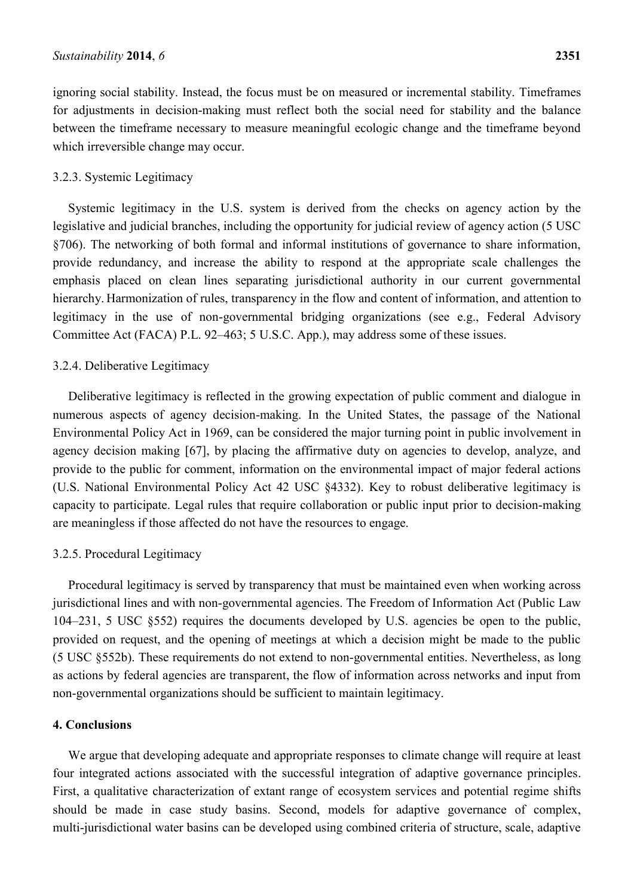ignoring social stability. Instead, the focus must be on measured or incremental stability. Timeframes for adjustments in decision-making must reflect both the social need for stability and the balance between the timeframe necessary to measure meaningful ecologic change and the timeframe beyond which irreversible change may occur.

#### 3.2.3. Systemic Legitimacy

Systemic legitimacy in the U.S. system is derived from the checks on agency action by the legislative and judicial branches, including the opportunity for judicial review of agency action (5 USC §706). The networking of both formal and informal institutions of governance to share information, provide redundancy, and increase the ability to respond at the appropriate scale challenges the emphasis placed on clean lines separating jurisdictional authority in our current governmental hierarchy. Harmonization of rules, transparency in the flow and content of information, and attention to legitimacy in the use of non-governmental bridging organizations (see e.g., Federal Advisory Committee Act (FACA) P.L. 92–463; 5 U.S.C. App.), may address some of these issues.

#### 3.2.4. Deliberative Legitimacy

Deliberative legitimacy is reflected in the growing expectation of public comment and dialogue in numerous aspects of agency decision-making. In the United States, the passage of the National Environmental Policy Act in 1969, can be considered the major turning point in public involvement in agency decision making [67], by placing the affirmative duty on agencies to develop, analyze, and provide to the public for comment, information on the environmental impact of major federal actions (U.S. National Environmental Policy Act 42 USC §4332). Key to robust deliberative legitimacy is capacity to participate. Legal rules that require collaboration or public input prior to decision-making are meaningless if those affected do not have the resources to engage.

#### 3.2.5. Procedural Legitimacy

Procedural legitimacy is served by transparency that must be maintained even when working across jurisdictional lines and with non-governmental agencies. The Freedom of Information Act (Public Law 104–231, 5 USC §552) requires the documents developed by U.S. agencies be open to the public, provided on request, and the opening of meetings at which a decision might be made to the public (5 USC §552b). These requirements do not extend to non-governmental entities. Nevertheless, as long as actions by federal agencies are transparent, the flow of information across networks and input from non-governmental organizations should be sufficient to maintain legitimacy.

#### **4. Conclusions**

We argue that developing adequate and appropriate responses to climate change will require at least four integrated actions associated with the successful integration of adaptive governance principles. First, a qualitative characterization of extant range of ecosystem services and potential regime shifts should be made in case study basins. Second, models for adaptive governance of complex, multi-jurisdictional water basins can be developed using combined criteria of structure, scale, adaptive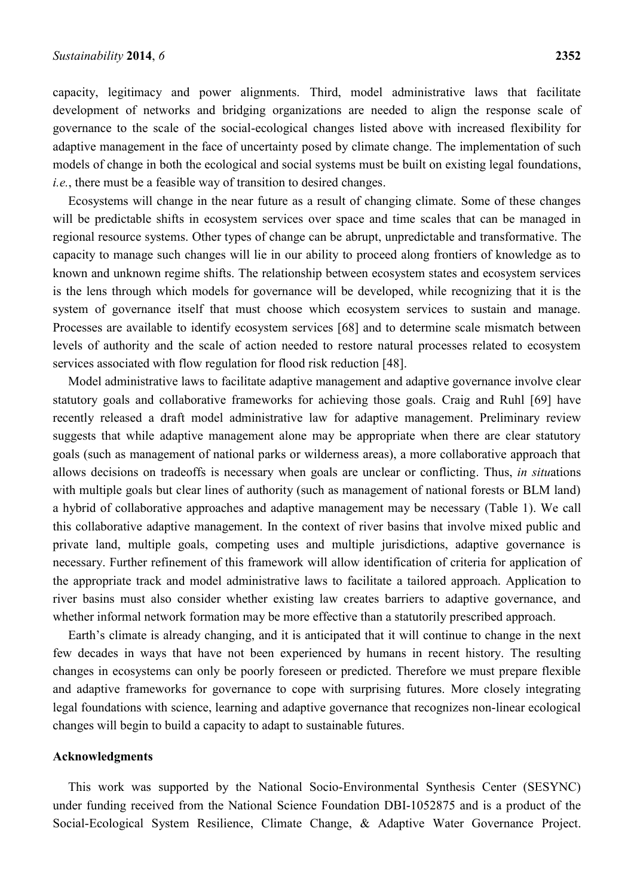capacity, legitimacy and power alignments. Third, model administrative laws that facilitate development of networks and bridging organizations are needed to align the response scale of governance to the scale of the social-ecological changes listed above with increased flexibility for adaptive management in the face of uncertainty posed by climate change. The implementation of such models of change in both the ecological and social systems must be built on existing legal foundations, *i.e.*, there must be a feasible way of transition to desired changes.

Ecosystems will change in the near future as a result of changing climate. Some of these changes will be predictable shifts in ecosystem services over space and time scales that can be managed in regional resource systems. Other types of change can be abrupt, unpredictable and transformative. The capacity to manage such changes will lie in our ability to proceed along frontiers of knowledge as to known and unknown regime shifts. The relationship between ecosystem states and ecosystem services is the lens through which models for governance will be developed, while recognizing that it is the system of governance itself that must choose which ecosystem services to sustain and manage. Processes are available to identify ecosystem services [68] and to determine scale mismatch between levels of authority and the scale of action needed to restore natural processes related to ecosystem services associated with flow regulation for flood risk reduction [48].

Model administrative laws to facilitate adaptive management and adaptive governance involve clear statutory goals and collaborative frameworks for achieving those goals. Craig and Ruhl [69] have recently released a draft model administrative law for adaptive management. Preliminary review suggests that while adaptive management alone may be appropriate when there are clear statutory goals (such as management of national parks or wilderness areas), a more collaborative approach that allows decisions on tradeoffs is necessary when goals are unclear or conflicting. Thus, *in situ*ations with multiple goals but clear lines of authority (such as management of national forests or BLM land) a hybrid of collaborative approaches and adaptive management may be necessary (Table 1). We call this collaborative adaptive management. In the context of river basins that involve mixed public and private land, multiple goals, competing uses and multiple jurisdictions, adaptive governance is necessary. Further refinement of this framework will allow identification of criteria for application of the appropriate track and model administrative laws to facilitate a tailored approach. Application to river basins must also consider whether existing law creates barriers to adaptive governance, and whether informal network formation may be more effective than a statutorily prescribed approach.

Earth's climate is already changing, and it is anticipated that it will continue to change in the next few decades in ways that have not been experienced by humans in recent history. The resulting changes in ecosystems can only be poorly foreseen or predicted. Therefore we must prepare flexible and adaptive frameworks for governance to cope with surprising futures. More closely integrating legal foundations with science, learning and adaptive governance that recognizes non-linear ecological changes will begin to build a capacity to adapt to sustainable futures.

#### **Acknowledgments**

This work was supported by the National Socio-Environmental Synthesis Center (SESYNC) under funding received from the National Science Foundation DBI-1052875 and is a product of the Social-Ecological System Resilience, Climate Change, & Adaptive Water Governance Project.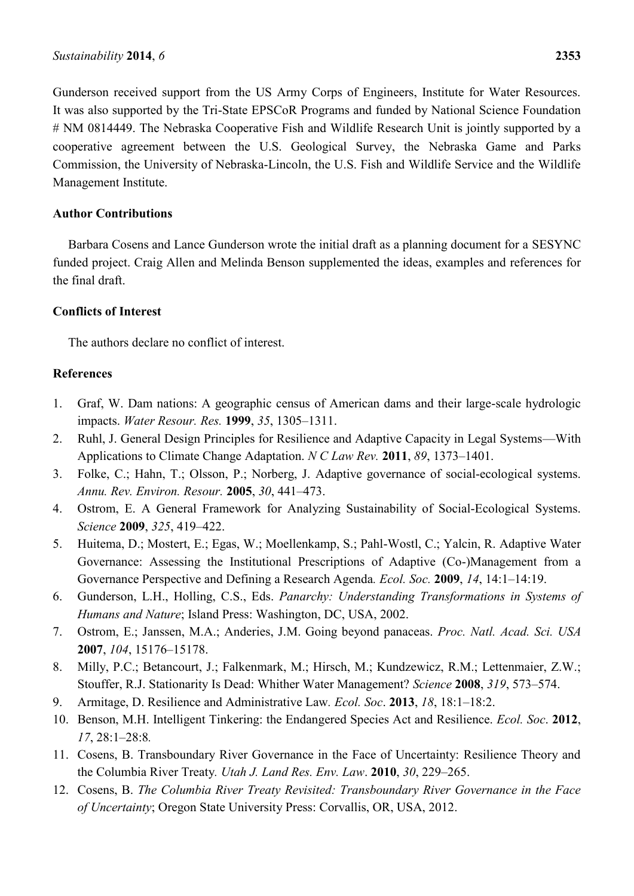Gunderson received support from the US Army Corps of Engineers, Institute for Water Resources. It was also supported by the Tri-State EPSCoR Programs and funded by National Science Foundation # NM 0814449. The Nebraska Cooperative Fish and Wildlife Research Unit is jointly supported by a cooperative agreement between the U.S. Geological Survey, the Nebraska Game and Parks Commission, the University of Nebraska-Lincoln, the U.S. Fish and Wildlife Service and the Wildlife Management Institute.

### **Author Contributions**

Barbara Cosens and Lance Gunderson wrote the initial draft as a planning document for a SESYNC funded project. Craig Allen and Melinda Benson supplemented the ideas, examples and references for the final draft.

## **Conflicts of Interest**

The authors declare no conflict of interest.

## **References**

- 1. Graf, W. Dam nations: A geographic census of American dams and their large-scale hydrologic impacts. *Water Resour. Res.* **1999**, *35*, 1305–1311.
- 2. Ruhl, J. General Design Principles for Resilience and Adaptive Capacity in Legal Systems—With Applications to Climate Change Adaptation. *N C Law Rev.* **2011**, *89*, 1373–1401.
- 3. Folke, C.; Hahn, T.; Olsson, P.; Norberg, J. Adaptive governance of social-ecological systems. *Annu. Rev. Environ. Resour.* **2005**, *30*, 441–473.
- 4. Ostrom, E. A General Framework for Analyzing Sustainability of Social-Ecological Systems. *Science* **2009**, *325*, 419–422.
- 5. Huitema, D.; Mostert, E.; Egas, W.; Moellenkamp, S.; Pahl-Wostl, C.; Yalcin, R. Adaptive Water Governance: Assessing the Institutional Prescriptions of Adaptive (Co-)Management from a Governance Perspective and Defining a Research Agenda*. Ecol. Soc.* **2009**, *14*, 14:1–14:19.
- 6. Gunderson, L.H., Holling, C.S., Eds. *Panarchy: Understanding Transformations in Systems of Humans and Nature*; Island Press: Washington, DC, USA, 2002.
- 7. Ostrom, E.; Janssen, M.A.; Anderies, J.M. Going beyond panaceas. *Proc. Natl. Acad. Sci. USA*  **2007**, *104*, 15176–15178.
- 8. Milly, P.C.; Betancourt, J.; Falkenmark, M.; Hirsch, M.; Kundzewicz, R.M.; Lettenmaier, Z.W.; Stouffer, R.J. Stationarity Is Dead: Whither Water Management? *Science* **2008**, *319*, 573–574.
- 9. Armitage, D. Resilience and Administrative Law*. Ecol. Soc*. **2013**, *18*, 18:1–18:2.
- 10. Benson, M.H. Intelligent Tinkering: the Endangered Species Act and Resilience. *Ecol. Soc*. **2012**, *17*, 28:1–28:8*.*
- 11. Cosens, B. Transboundary River Governance in the Face of Uncertainty: Resilience Theory and the Columbia River Treaty*. Utah J. Land Res. Env. Law*. **2010**, *30*, 229–265.
- 12. Cosens, B. *The Columbia River Treaty Revisited: Transboundary River Governance in the Face of Uncertainty*; Oregon State University Press: Corvallis, OR, USA, 2012.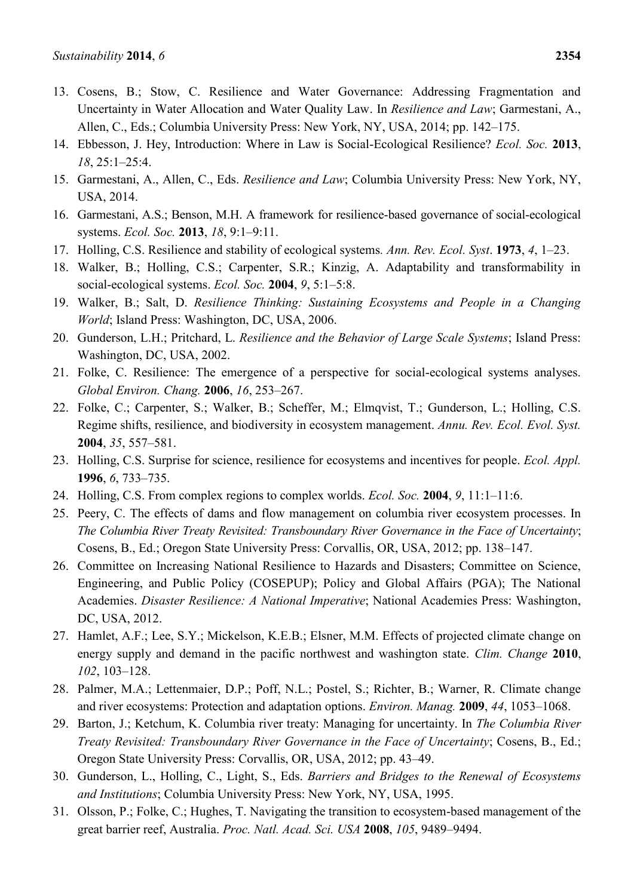- 13. Cosens, B.; Stow, C. Resilience and Water Governance: Addressing Fragmentation and Uncertainty in Water Allocation and Water Quality Law. In *Resilience and Law*; Garmestani, A., Allen, C., Eds.; Columbia University Press: New York, NY, USA, 2014; pp. 142–175.
- 14. Ebbesson, J. Hey, Introduction: Where in Law is Social-Ecological Resilience? *Ecol. Soc.* **2013**, *18*, 25:1–25:4.
- 15. Garmestani, A., Allen, C., Eds. *Resilience and Law*; Columbia University Press: New York, NY, USA, 2014.
- 16. Garmestani, A.S.; Benson, M.H. A framework for resilience-based governance of social-ecological systems. *Ecol. Soc.* **2013**, *18*, 9:1–9:11.
- 17. Holling, C.S. Resilience and stability of ecological systems*. Ann. Rev. Ecol. Syst*. **1973**, *4*, 1–23.
- 18. Walker, B.; Holling, C.S.; Carpenter, S.R.; Kinzig, A. Adaptability and transformability in social-ecological systems. *Ecol. Soc.* **2004**, *9*, 5:1–5:8.
- 19. Walker, B.; Salt, D. *Resilience Thinking: Sustaining Ecosystems and People in a Changing World*; Island Press: Washington, DC, USA, 2006.
- 20. Gunderson, L.H.; Pritchard, L. *Resilience and the Behavior of Large Scale Systems*; Island Press: Washington, DC, USA, 2002.
- 21. Folke, C. Resilience: The emergence of a perspective for social-ecological systems analyses. *Global Environ. Chang.* **2006**, *16*, 253–267.
- 22. Folke, C.; Carpenter, S.; Walker, B.; Scheffer, M.; Elmqvist, T.; Gunderson, L.; Holling, C.S. Regime shifts, resilience, and biodiversity in ecosystem management. *Annu. Rev. Ecol. Evol. Syst.* **2004**, *35*, 557–581.
- 23. Holling, C.S. Surprise for science, resilience for ecosystems and incentives for people. *Ecol. Appl.* **1996**, *6*, 733–735.
- 24. Holling, C.S. From complex regions to complex worlds. *Ecol. Soc.* **2004**, *9*, 11:1–11:6.
- 25. Peery, C. The effects of dams and flow management on columbia river ecosystem processes. In *The Columbia River Treaty Revisited: Transboundary River Governance in the Face of Uncertainty*; Cosens, B., Ed.; Oregon State University Press: Corvallis, OR, USA, 2012; pp. 138–147.
- 26. Committee on Increasing National Resilience to Hazards and Disasters; Committee on Science, Engineering, and Public Policy (COSEPUP); Policy and Global Affairs (PGA); The National Academies. *Disaster Resilience: A National Imperative*; National Academies Press: Washington, DC, USA, 2012.
- 27. Hamlet, A.F.; Lee, S.Y.; Mickelson, K.E.B.; Elsner, M.M. Effects of projected climate change on energy supply and demand in the pacific northwest and washington state. *Clim. Change* **2010**, *102*, 103–128.
- 28. Palmer, M.A.; Lettenmaier, D.P.; Poff, N.L.; Postel, S.; Richter, B.; Warner, R. Climate change and river ecosystems: Protection and adaptation options. *Environ. Manag.* **2009**, *44*, 1053–1068.
- 29. Barton, J.; Ketchum, K. Columbia river treaty: Managing for uncertainty. In *The Columbia River Treaty Revisited: Transboundary River Governance in the Face of Uncertainty*; Cosens, B., Ed.; Oregon State University Press: Corvallis, OR, USA, 2012; pp. 43–49.
- 30. Gunderson, L., Holling, C., Light, S., Eds. *Barriers and Bridges to the Renewal of Ecosystems and Institutions*; Columbia University Press: New York, NY, USA, 1995.
- 31. Olsson, P.; Folke, C.; Hughes, T. Navigating the transition to ecosystem-based management of the great barrier reef, Australia. *Proc. Natl. Acad. Sci. USA* **2008**, *105*, 9489–9494.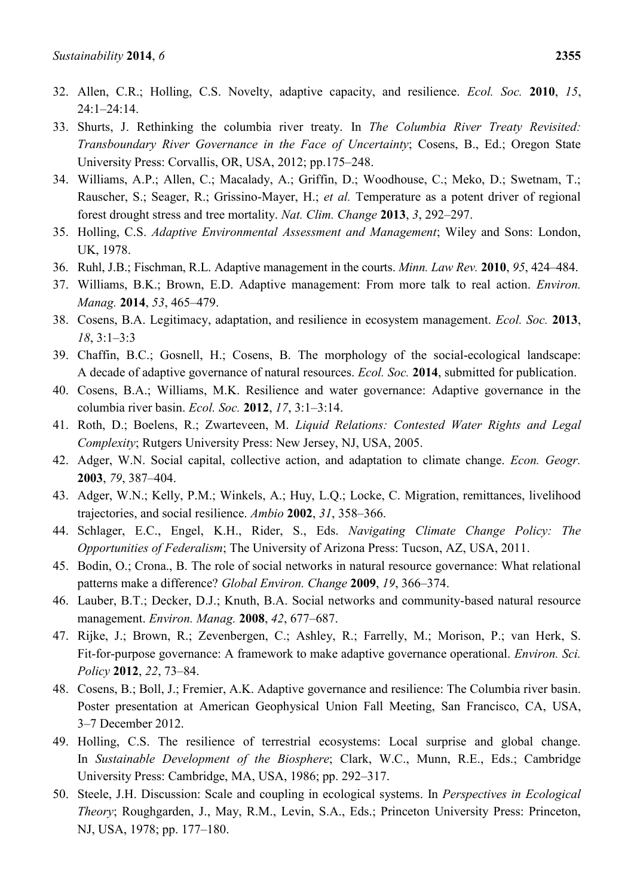- 32. Allen, C.R.; Holling, C.S. Novelty, adaptive capacity, and resilience. *Ecol. Soc.* **2010**, *15*, 24:1–24:14.
- 33. Shurts, J. Rethinking the columbia river treaty. In *The Columbia River Treaty Revisited: Transboundary River Governance in the Face of Uncertainty*; Cosens, B., Ed.; Oregon State University Press: Corvallis, OR, USA, 2012; pp.175–248.
- 34. Williams, A.P.; Allen, C.; Macalady, A.; Griffin, D.; Woodhouse, C.; Meko, D.; Swetnam, T.; Rauscher, S.; Seager, R.; Grissino-Mayer, H.; *et al.* Temperature as a potent driver of regional forest drought stress and tree mortality. *Nat. Clim. Change* **2013**, *3*, 292–297.
- 35. Holling, C.S. *Adaptive Environmental Assessment and Management*; Wiley and Sons: London, UK, 1978.
- 36. Ruhl, J.B.; Fischman, R.L. Adaptive management in the courts. *Minn. Law Rev.* **2010**, *95*, 424–484.
- 37. Williams, B.K.; Brown, E.D. Adaptive management: From more talk to real action. *Environ. Manag.* **2014**, *53*, 465–479.
- 38. Cosens, B.A. Legitimacy, adaptation, and resilience in ecosystem management. *Ecol. Soc.* **2013**, *18*, 3:1–3:3
- 39. Chaffin, B.C.; Gosnell, H.; Cosens, B. The morphology of the social-ecological landscape: A decade of adaptive governance of natural resources. *Ecol. Soc.* **2014**, submitted for publication.
- 40. Cosens, B.A.; Williams, M.K. Resilience and water governance: Adaptive governance in the columbia river basin. *Ecol. Soc.* **2012**, *17*, 3:1–3:14.
- 41. Roth, D.; Boelens, R.; Zwarteveen, M. *Liquid Relations: Contested Water Rights and Legal Complexity*; Rutgers University Press: New Jersey, NJ, USA, 2005.
- 42. Adger, W.N. Social capital, collective action, and adaptation to climate change. *Econ. Geogr.* **2003**, *79*, 387–404.
- 43. Adger, W.N.; Kelly, P.M.; Winkels, A.; Huy, L.Q.; Locke, C. Migration, remittances, livelihood trajectories, and social resilience. *Ambio* **2002**, *31*, 358–366.
- 44. Schlager, E.C., Engel, K.H., Rider, S., Eds. *Navigating Climate Change Policy: The Opportunities of Federalism*; The University of Arizona Press: Tucson, AZ, USA, 2011.
- 45. Bodin, O.; Crona., B. The role of social networks in natural resource governance: What relational patterns make a difference? *Global Environ. Change* **2009**, *19*, 366–374.
- 46. Lauber, B.T.; Decker, D.J.; Knuth, B.A. Social networks and community-based natural resource management. *Environ. Manag.* **2008**, *42*, 677–687.
- 47. Rijke, J.; Brown, R.; Zevenbergen, C.; Ashley, R.; Farrelly, M.; Morison, P.; van Herk, S. Fit-for-purpose governance: A framework to make adaptive governance operational. *Environ. Sci. Policy* **2012**, *22*, 73–84.
- 48. Cosens, B.; Boll, J.; Fremier, A.K. Adaptive governance and resilience: The Columbia river basin. Poster presentation at American Geophysical Union Fall Meeting, San Francisco, CA, USA, 3–7 December 2012.
- 49. Holling, C.S. The resilience of terrestrial ecosystems: Local surprise and global change. In *Sustainable Development of the Biosphere*; Clark, W.C., Munn, R.E., Eds.; Cambridge University Press: Cambridge, MA, USA, 1986; pp. 292–317.
- 50. Steele, J.H. Discussion: Scale and coupling in ecological systems. In *Perspectives in Ecological Theory*; Roughgarden, J., May, R.M., Levin, S.A., Eds.; Princeton University Press: Princeton, NJ, USA, 1978; pp. 177–180.